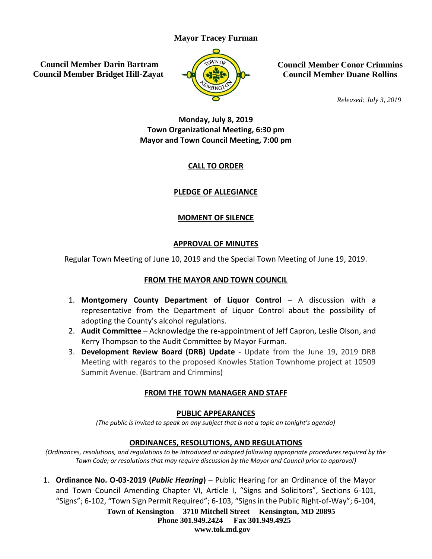## **Mayor Tracey Furman**

**Council Member Darin Bartram Council Member Bridget Hill-Zayat**



**Council Member Conor Crimmins Council Member Duane Rollins**

*Released: July 3, 2019*

**Monday, July 8, 2019 Town Organizational Meeting, 6:30 pm Mayor and Town Council Meeting, 7:00 pm**

# **CALL TO ORDER**

## **PLEDGE OF ALLEGIANCE**

## **MOMENT OF SILENCE**

## **APPROVAL OF MINUTES**

Regular Town Meeting of June 10, 2019 and the Special Town Meeting of June 19, 2019.

## **FROM THE MAYOR AND TOWN COUNCIL**

- 1. **Montgomery County Department of Liquor Control** A discussion with a representative from the Department of Liquor Control about the possibility of adopting the County's alcohol regulations.
- 2. **Audit Committee**  Acknowledge the re-appointment of Jeff Capron, Leslie Olson, and Kerry Thompson to the Audit Committee by Mayor Furman.
- 3. **Development Review Board (DRB) Update**  Update from the June 19, 2019 DRB Meeting with regards to the proposed Knowles Station Townhome project at 10509 Summit Avenue. (Bartram and Crimmins)

## **FROM THE TOWN MANAGER AND STAFF**

## **PUBLIC APPEARANCES**

*(The public is invited to speak on any subject that is not a topic on tonight's agenda)*

## **ORDINANCES, RESOLUTIONS, AND REGULATIONS**

*(Ordinances, resolutions, and regulations to be introduced or adopted following appropriate procedures required by the Town Code; or resolutions that may require discussion by the Mayor and Council prior to approval)*

1. **Ordinance No. O-03-2019 (***Public Hearing***)** – Public Hearing for an Ordinance of the Mayor and Town Council Amending Chapter VI, Article I, "Signs and Solicitors", Sections 6-101, "Signs"; 6-102, "Town Sign Permit Required"; 6-103, "Signs in the Public Right-of-Way"; 6-104,

> **Town of Kensington 3710 Mitchell Street Kensington, MD 20895 Phone 301.949.2424 Fax 301.949.4925 www.tok.md.gov**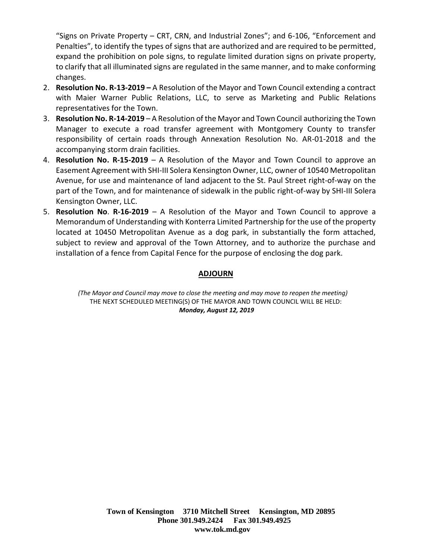"Signs on Private Property – CRT, CRN, and Industrial Zones"; and 6-106, "Enforcement and Penalties", to identify the types of signs that are authorized and are required to be permitted, expand the prohibition on pole signs, to regulate limited duration signs on private property, to clarify that all illuminated signs are regulated in the same manner, and to make conforming changes.

- 2. **Resolution No. R-13-2019 –** A Resolution of the Mayor and Town Council extending a contract with Maier Warner Public Relations, LLC, to serve as Marketing and Public Relations representatives for the Town.
- 3. **Resolution No. R-14-2019** A Resolution of the Mayor and Town Council authorizing the Town Manager to execute a road transfer agreement with Montgomery County to transfer responsibility of certain roads through Annexation Resolution No. AR-01-2018 and the accompanying storm drain facilities.
- 4. **Resolution No. R-15-2019** A Resolution of the Mayor and Town Council to approve an Easement Agreement with SHI-III Solera Kensington Owner, LLC, owner of 10540 Metropolitan Avenue, for use and maintenance of land adjacent to the St. Paul Street right-of-way on the part of the Town, and for maintenance of sidewalk in the public right-of-way by SHI-III Solera Kensington Owner, LLC.
- 5. **Resolution No**. **R-16-2019** A Resolution of the Mayor and Town Council to approve a Memorandum of Understanding with Konterra Limited Partnership for the use of the property located at 10450 Metropolitan Avenue as a dog park, in substantially the form attached, subject to review and approval of the Town Attorney, and to authorize the purchase and installation of a fence from Capital Fence for the purpose of enclosing the dog park.

## **ADJOURN**

*(The Mayor and Council may move to close the meeting and may move to reopen the meeting)* THE NEXT SCHEDULED MEETING(S) OF THE MAYOR AND TOWN COUNCIL WILL BE HELD: *Monday, August 12, 2019*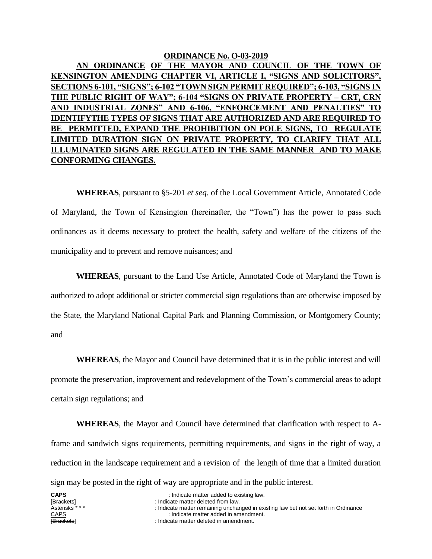**AN ORDINANCE OF THE MAYOR AND COUNCIL OF THE TOWN OF KENSINGTON AMENDING CHAPTER VI, ARTICLE I, "SIGNS AND SOLICITORS", SECTIONS 6-101, "SIGNS"; 6-102 "TOWN SIGN PERMIT REQUIRED"; 6-103, "SIGNS IN THE PUBLIC RIGHT OF WAY"; 6-104 "SIGNS ON PRIVATE PROPERTY – CRT, CRN AND INDUSTRIAL ZONES" AND 6-106, "ENFORCEMENT AND PENALTIES" TO IDENTIFYTHE TYPES OF SIGNS THAT ARE AUTHORIZED AND ARE REQUIRED TO BE PERMITTED, EXPAND THE PROHIBITION ON POLE SIGNS, TO REGULATE LIMITED DURATION SIGN ON PRIVATE PROPERTY, TO CLARIFY THAT ALL ILLUMINATED SIGNS ARE REGULATED IN THE SAME MANNER AND TO MAKE CONFORMING CHANGES.**

**WHEREAS**, pursuant to §5-201 *et seq.* of the Local Government Article, Annotated Code of Maryland, the Town of Kensington (hereinafter, the "Town") has the power to pass such ordinances as it deems necessary to protect the health, safety and welfare of the citizens of the municipality and to prevent and remove nuisances; and

**WHEREAS**, pursuant to the Land Use Article, Annotated Code of Maryland the Town is authorized to adopt additional or stricter commercial sign regulations than are otherwise imposed by the State, the Maryland National Capital Park and Planning Commission, or Montgomery County; and

**WHEREAS**, the Mayor and Council have determined that it is in the public interest and will promote the preservation, improvement and redevelopment of the Town's commercial areas to adopt certain sign regulations; and

**WHEREAS**, the Mayor and Council have determined that clarification with respect to Aframe and sandwich signs requirements, permitting requirements, and signs in the right of way, a reduction in the landscape requirement and a revision of the length of time that a limited duration sign may be posted in the right of way are appropriate and in the public interest.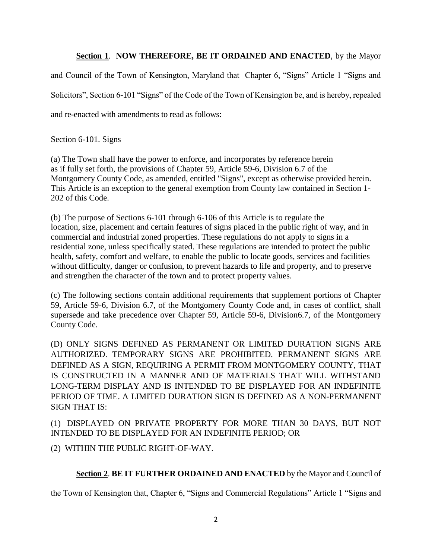## **Section 1**. **NOW THEREFORE, BE IT ORDAINED AND ENACTED**, by the Mayor

and Council of the Town of Kensington, Maryland that Chapter 6, "Signs" Article 1 "Signs and Solicitors", Section 6-101 "Signs" of the Code of the Town of Kensington be, and is hereby, repealed and re-enacted with amendments to read as follows:

Section 6-101. Signs

(a) The Town shall have the power to enforce, and incorporates by reference herein as if fully set forth, the provisions of Chapter 59, Article 59-6, Division 6.7 of the Montgomery County Code, as amended, entitled "Signs", except as otherwise provided herein. This Article is an exception to the general exemption from County law contained in Section 1- 202 of this Code.

(b) The purpose of Sections 6-101 through 6-106 of this Article is to regulate the location, size, placement and certain features of signs placed in the public right of way, and in commercial and industrial zoned properties. These regulations do not apply to signs in a residential zone, unless specifically stated. These regulations are intended to protect the public health, safety, comfort and welfare, to enable the public to locate goods, services and facilities without difficulty, danger or confusion, to prevent hazards to life and property, and to preserve and strengthen the character of the town and to protect property values.

(c) The following sections contain additional requirements that supplement portions of Chapter 59, Article 59-6, Division 6.7, of the Montgomery County Code and, in cases of conflict, shall supersede and take precedence over Chapter 59, Article 59-6, Division6.7, of the Montgomery County Code.

(D) ONLY SIGNS DEFINED AS PERMANENT OR LIMITED DURATION SIGNS ARE AUTHORIZED. TEMPORARY SIGNS ARE PROHIBITED. PERMANENT SIGNS ARE DEFINED AS A SIGN, REQUIRING A PERMIT FROM MONTGOMERY COUNTY, THAT IS CONSTRUCTED IN A MANNER AND OF MATERIALS THAT WILL WITHSTAND LONG-TERM DISPLAY AND IS INTENDED TO BE DISPLAYED FOR AN INDEFINITE PERIOD OF TIME. A LIMITED DURATION SIGN IS DEFINED AS A NON-PERMANENT SIGN THAT IS:

(1) DISPLAYED ON PRIVATE PROPERTY FOR MORE THAN 30 DAYS, BUT NOT INTENDED TO BE DISPLAYED FOR AN INDEFINITE PERIOD; OR

(2) WITHIN THE PUBLIC RIGHT-OF-WAY.

## **Section 2**. **BE IT FURTHER ORDAINED AND ENACTED** by the Mayor and Council of

the Town of Kensington that, Chapter 6, "Signs and Commercial Regulations" Article 1 "Signs and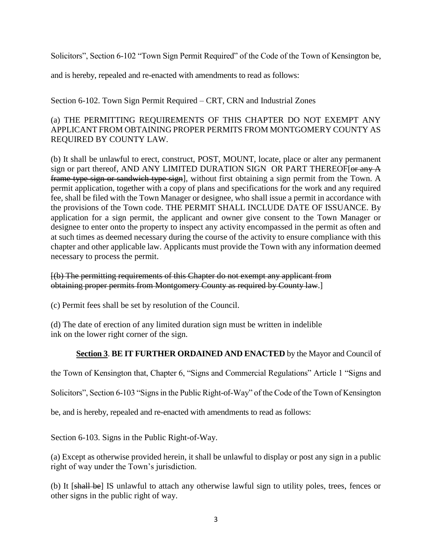Solicitors", Section 6-102 "Town Sign Permit Required" of the Code of the Town of Kensington be,

and is hereby, repealed and re-enacted with amendments to read as follows:

Section 6-102. Town Sign Permit Required – CRT, CRN and Industrial Zones

## (a) THE PERMITTING REQUIREMENTS OF THIS CHAPTER DO NOT EXEMPT ANY APPLICANT FROM OBTAINING PROPER PERMITS FROM MONTGOMERY COUNTY AS REQUIRED BY COUNTY LAW.

(b) It shall be unlawful to erect, construct, POST, MOUNT, locate, place or alter any permanent sign or part thereof, AND ANY LIMITED DURATION SIGN OR PART THEREOF [ or any A frame type sign or sandwich type sign], without first obtaining a sign permit from the Town. A permit application, together with a copy of plans and specifications for the work and any required fee, shall be filed with the Town Manager or designee, who shall issue a permit in accordance with the provisions of the Town code. THE PERMIT SHALL INCLUDE DATE OF ISSUANCE. By application for a sign permit, the applicant and owner give consent to the Town Manager or designee to enter onto the property to inspect any activity encompassed in the permit as often and at such times as deemed necessary during the course of the activity to ensure compliance with this chapter and other applicable law. Applicants must provide the Town with any information deemed necessary to process the permit.

## [(b) The permitting requirements of this Chapter do not exempt any applicant from obtaining proper permits from Montgomery County as required by County law.]

(c) Permit fees shall be set by resolution of the Council.

(d) The date of erection of any limited duration sign must be written in indelible ink on the lower right corner of the sign.

## **Section 3**. **BE IT FURTHER ORDAINED AND ENACTED** by the Mayor and Council of

the Town of Kensington that, Chapter 6, "Signs and Commercial Regulations" Article 1 "Signs and

Solicitors", Section 6-103 "Signs in the Public Right-of-Way" of the Code of the Town of Kensington

be, and is hereby, repealed and re-enacted with amendments to read as follows:

Section 6-103. Signs in the Public Right-of-Way.

(a) Except as otherwise provided herein, it shall be unlawful to display or post any sign in a public right of way under the Town's jurisdiction.

(b) It [shall be] IS unlawful to attach any otherwise lawful sign to utility poles, trees, fences or other signs in the public right of way.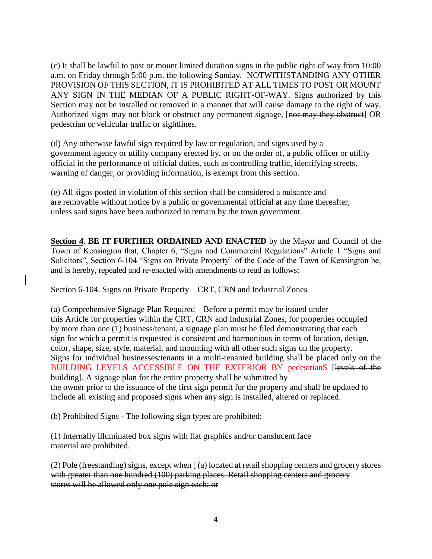(c) It shall be lawful to post or mount limited duration signs in the public right of way from 10:00 a.m. on Friday through 5:00 p.m. the following Sunday. NOTWITHSTANDING ANY OTHER PROVISION OF THIS SECTION, IT IS PROHIBITED AT ALL TIMES TO POST OR MOUNT ANY SIGN IN THE MEDIAN OF A PUBLIC RIGHT-OF-WAY. Signs authorized by this Section may not be installed or removed in a manner that will cause damage to the right of way. Authorized signs may not block or obstruct any permanent signage, [nor may they obstruct] OR pedestrian or vehicular traffic or sightlines.

(d) Any otherwise lawful sign required by law or regulation, and signs used by a government agency or utility company erected by, or on the order of, a public officer or utility official in the performance of official duties, such as controlling traffic, identifying streets, warning of danger, or providing information, is exempt from this section.

(e) All signs posted in violation of this section shall be considered a nuisance and are removable without notice by a public or governmental official at any time thereafter, unless said signs have been authorized to remain by the town government.

**Section 4**. **BE IT FURTHER ORDAINED AND ENACTED** by the Mayor and Council of the Town of Kensington that, Chapter 6, "Signs and Commercial Regulations" Article 1 "Signs and Solicitors", Section 6-104 "Signs on Private Property" of the Code of the Town of Kensington be, and is hereby, repealed and re-enacted with amendments to read as follows:

Section 6-104. Signs on Private Property – CRT, CRN and Industrial Zones

(a) Comprehensive Signage Plan Required – Before a permit may be issued under this Article for properties within the CRT, CRN and Industrial Zones, for properties occupied by more than one (1) business/tenant, a signage plan must be filed demonstrating that each sign for which a permit is requested is consistent and harmonious in terms of location, design, color, shape, size, style, material, and mounting with all other such signs on the property. Signs for individual businesses/tenants in a multi-tenanted building shall be placed only on the BUILDING LEVELS ACCESSIBLE ON THE EXTERIOR BY pedestrianS [levels of the building]. A signage plan for the entire property shall be submitted by the owner prior to the issuance of the first sign permit for the property and shall be updated to include all existing and proposed signs when any sign is installed, altered or replaced.

(b) Prohibited Signs - The following sign types are prohibited:

(1) Internally illuminated box signs with flat graphics and/or translucent face material are prohibited.

(2) Pole (freestanding) signs, except when  $\left[ \frac{4}{3} \right]$  located at retail shopping centers and grocery stores with greater than one hundred (100) parking places. Retail shopping centers and grocery stores will be allowed only one pole sign each; or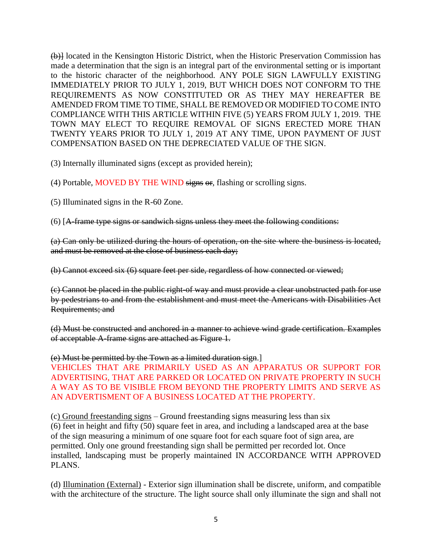(b)] located in the Kensington Historic District, when the Historic Preservation Commission has made a determination that the sign is an integral part of the environmental setting or is important to the historic character of the neighborhood. ANY POLE SIGN LAWFULLY EXISTING IMMEDIATELY PRIOR TO JULY 1, 2019, BUT WHICH DOES NOT CONFORM TO THE REQUIREMENTS AS NOW CONSTITUTED OR AS THEY MAY HEREAFTER BE AMENDED FROM TIME TO TIME, SHALL BE REMOVED OR MODIFIED TO COME INTO COMPLIANCE WITH THIS ARTICLE WITHIN FIVE (5) YEARS FROM JULY 1, 2019. THE TOWN MAY ELECT TO REQUIRE REMOVAL OF SIGNS ERECTED MORE THAN TWENTY YEARS PRIOR TO JULY 1, 2019 AT ANY TIME, UPON PAYMENT OF JUST COMPENSATION BASED ON THE DEPRECIATED VALUE OF THE SIGN.

(3) Internally illuminated signs (except as provided herein);

(4) Portable, MOVED BY THE WIND signs or, flashing or scrolling signs.

(5) Illuminated signs in the R-60 Zone.

(6) [A-frame type signs or sandwich signs unless they meet the following conditions:

(a) Can only be utilized during the hours of operation, on the site where the business is located, and must be removed at the close of business each day;

(b) Cannot exceed six (6) square feet per side, regardless of how connected or viewed;

(c) Cannot be placed in the public right-of way and must provide a clear unobstructed path for use by pedestrians to and from the establishment and must meet the Americans with Disabilities Act Requirements; and

(d) Must be constructed and anchored in a manner to achieve wind grade certification. Examples of acceptable A-frame signs are attached as Figure 1.

(e) Must be permitted by the Town as a limited duration sign.]

VEHICLES THAT ARE PRIMARILY USED AS AN APPARATUS OR SUPPORT FOR ADVERTISING, THAT ARE PARKED OR LOCATED ON PRIVATE PROPERTY IN SUCH A WAY AS TO BE VISIBLE FROM BEYOND THE PROPERTY LIMITS AND SERVE AS AN ADVERTISMENT OF A BUSINESS LOCATED AT THE PROPERTY.

(c) Ground freestanding signs – Ground freestanding signs measuring less than six (6) feet in height and fifty (50) square feet in area, and including a landscaped area at the base of the sign measuring a minimum of one square foot for each square foot of sign area, are permitted. Only one ground freestanding sign shall be permitted per recorded lot. Once installed, landscaping must be properly maintained IN ACCORDANCE WITH APPROVED PLANS.

(d) Illumination (External) - Exterior sign illumination shall be discrete, uniform, and compatible with the architecture of the structure. The light source shall only illuminate the sign and shall not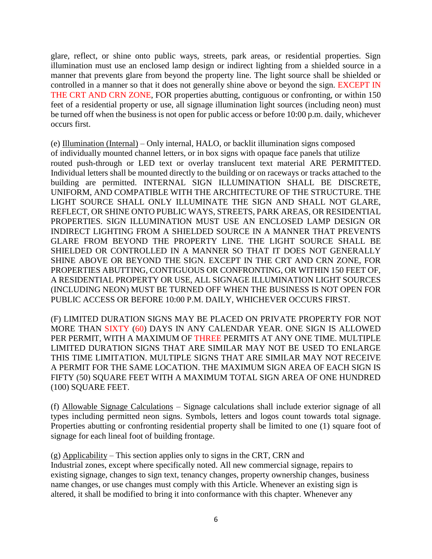glare, reflect, or shine onto public ways, streets, park areas, or residential properties. Sign illumination must use an enclosed lamp design or indirect lighting from a shielded source in a manner that prevents glare from beyond the property line. The light source shall be shielded or controlled in a manner so that it does not generally shine above or beyond the sign. EXCEPT IN THE CRT AND CRN ZONE, FOR properties abutting, contiguous or confronting, or within 150 feet of a residential property or use, all signage illumination light sources (including neon) must be turned off when the business is not open for public access or before 10:00 p.m. daily, whichever occurs first.

(e) Illumination (Internal) – Only internal, HALO, or backlit illumination signs composed of individually mounted channel letters, or in box signs with opaque face panels that utilize routed push-through or LED text or overlay translucent text material ARE PERMITTED. Individual letters shall be mounted directly to the building or on raceways or tracks attached to the building are permitted. INTERNAL SIGN ILLUMINATION SHALL BE DISCRETE, UNIFORM, AND COMPATIBLE WITH THE ARCHITECTURE OF THE STRUCTURE. THE LIGHT SOURCE SHALL ONLY ILLUMINATE THE SIGN AND SHALL NOT GLARE, REFLECT, OR SHINE ONTO PUBLIC WAYS, STREETS, PARK AREAS, OR RESIDENTIAL PROPERTIES. SIGN ILLUMINATION MUST USE AN ENCLOSED LAMP DESIGN OR INDIRECT LIGHTING FROM A SHIELDED SOURCE IN A MANNER THAT PREVENTS GLARE FROM BEYOND THE PROPERTY LINE. THE LIGHT SOURCE SHALL BE SHIELDED OR CONTROLLED IN A MANNER SO THAT IT DOES NOT GENERALLY SHINE ABOVE OR BEYOND THE SIGN. EXCEPT IN THE CRT AND CRN ZONE, FOR PROPERTIES ABUTTING, CONTIGUOUS OR CONFRONTING, OR WITHIN 150 FEET OF, A RESIDENTIAL PROPERTY OR USE, ALL SIGNAGE ILLUMINATION LIGHT SOURCES (INCLUDING NEON) MUST BE TURNED OFF WHEN THE BUSINESS IS NOT OPEN FOR PUBLIC ACCESS OR BEFORE 10:00 P.M. DAILY, WHICHEVER OCCURS FIRST.

(F) LIMITED DURATION SIGNS MAY BE PLACED ON PRIVATE PROPERTY FOR NOT MORE THAN SIXTY (60) DAYS IN ANY CALENDAR YEAR. ONE SIGN IS ALLOWED PER PERMIT, WITH A MAXIMUM OF THREE PERMITS AT ANY ONE TIME. MULTIPLE LIMITED DURATION SIGNS THAT ARE SIMILAR MAY NOT BE USED TO ENLARGE THIS TIME LIMITATION. MULTIPLE SIGNS THAT ARE SIMILAR MAY NOT RECEIVE A PERMIT FOR THE SAME LOCATION. THE MAXIMUM SIGN AREA OF EACH SIGN IS FIFTY (50) SQUARE FEET WITH A MAXIMUM TOTAL SIGN AREA OF ONE HUNDRED (100) SQUARE FEET.

(f) Allowable Signage Calculations – Signage calculations shall include exterior signage of all types including permitted neon signs. Symbols, letters and logos count towards total signage. Properties abutting or confronting residential property shall be limited to one (1) square foot of signage for each lineal foot of building frontage.

(g) Applicability – This section applies only to signs in the CRT, CRN and Industrial zones, except where specifically noted. All new commercial signage, repairs to existing signage, changes to sign text, tenancy changes, property ownership changes, business name changes, or use changes must comply with this Article. Whenever an existing sign is altered, it shall be modified to bring it into conformance with this chapter. Whenever any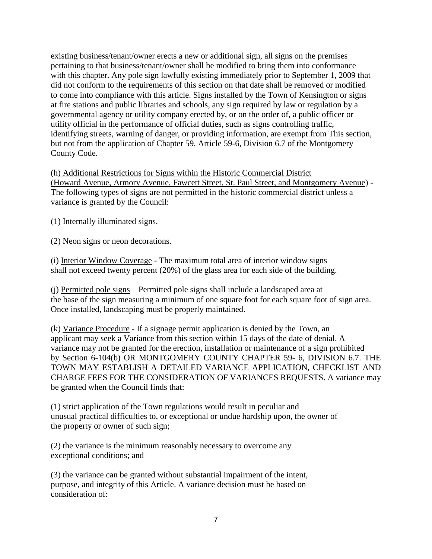existing business/tenant/owner erects a new or additional sign, all signs on the premises pertaining to that business/tenant/owner shall be modified to bring them into conformance with this chapter. Any pole sign lawfully existing immediately prior to September 1, 2009 that did not conform to the requirements of this section on that date shall be removed or modified to come into compliance with this article. Signs installed by the Town of Kensington or signs at fire stations and public libraries and schools, any sign required by law or regulation by a governmental agency or utility company erected by, or on the order of, a public officer or utility official in the performance of official duties, such as signs controlling traffic, identifying streets, warning of danger, or providing information, are exempt from This section, but not from the application of Chapter 59, Article 59-6, Division 6.7 of the Montgomery County Code.

(h) Additional Restrictions for Signs within the Historic Commercial District (Howard Avenue, Armory Avenue, Fawcett Street, St. Paul Street, and Montgomery Avenue) - The following types of signs are not permitted in the historic commercial district unless a variance is granted by the Council:

(1) Internally illuminated signs.

(2) Neon signs or neon decorations.

(i) Interior Window Coverage - The maximum total area of interior window signs shall not exceed twenty percent (20%) of the glass area for each side of the building.

(j) Permitted pole signs – Permitted pole signs shall include a landscaped area at the base of the sign measuring a minimum of one square foot for each square foot of sign area. Once installed, landscaping must be properly maintained.

(k) Variance Procedure - If a signage permit application is denied by the Town, an applicant may seek a Variance from this section within 15 days of the date of denial. A variance may not be granted for the erection, installation or maintenance of a sign prohibited by Section 6-104(b) OR MONTGOMERY COUNTY CHAPTER 59- 6, DIVISION 6.7. THE TOWN MAY ESTABLISH A DETAILED VARIANCE APPLICATION, CHECKLIST AND CHARGE FEES FOR THE CONSIDERATION OF VARIANCES REQUESTS. A variance may be granted when the Council finds that:

(1) strict application of the Town regulations would result in peculiar and unusual practical difficulties to, or exceptional or undue hardship upon, the owner of the property or owner of such sign;

(2) the variance is the minimum reasonably necessary to overcome any exceptional conditions; and

(3) the variance can be granted without substantial impairment of the intent, purpose, and integrity of this Article. A variance decision must be based on consideration of: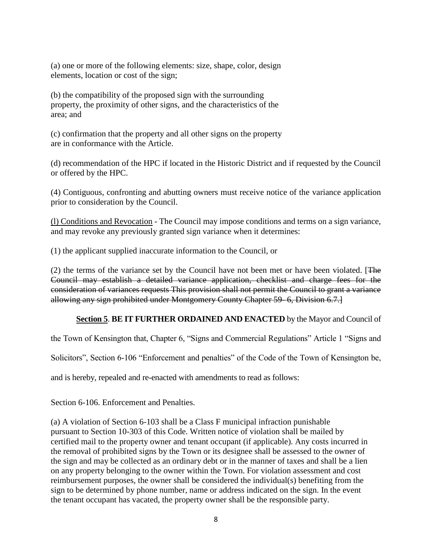(a) one or more of the following elements: size, shape, color, design elements, location or cost of the sign;

(b) the compatibility of the proposed sign with the surrounding property, the proximity of other signs, and the characteristics of the area; and

(c) confirmation that the property and all other signs on the property are in conformance with the Article.

(d) recommendation of the HPC if located in the Historic District and if requested by the Council or offered by the HPC.

(4) Contiguous, confronting and abutting owners must receive notice of the variance application prior to consideration by the Council.

(l) Conditions and Revocation - The Council may impose conditions and terms on a sign variance, and may revoke any previously granted sign variance when it determines:

(1) the applicant supplied inaccurate information to the Council, or

(2) the terms of the variance set by the Council have not been met or have been violated. [The Council may establish a detailed variance application, checklist and charge fees for the consideration of variances requests This provision shall not permit the Council to grant a variance allowing any sign prohibited under Montgomery County Chapter 59- 6, Division 6.7.]

## **Section 5**. **BE IT FURTHER ORDAINED AND ENACTED** by the Mayor and Council of

the Town of Kensington that, Chapter 6, "Signs and Commercial Regulations" Article 1 "Signs and

Solicitors", Section 6-106 "Enforcement and penalties" of the Code of the Town of Kensington be,

and is hereby, repealed and re-enacted with amendments to read as follows:

Section 6-106. Enforcement and Penalties.

(a) A violation of Section 6-103 shall be a Class F municipal infraction punishable pursuant to Section 10-303 of this Code. Written notice of violation shall be mailed by certified mail to the property owner and tenant occupant (if applicable). Any costs incurred in the removal of prohibited signs by the Town or its designee shall be assessed to the owner of the sign and may be collected as an ordinary debt or in the manner of taxes and shall be a lien on any property belonging to the owner within the Town. For violation assessment and cost reimbursement purposes, the owner shall be considered the individual(s) benefiting from the sign to be determined by phone number, name or address indicated on the sign. In the event the tenant occupant has vacated, the property owner shall be the responsible party.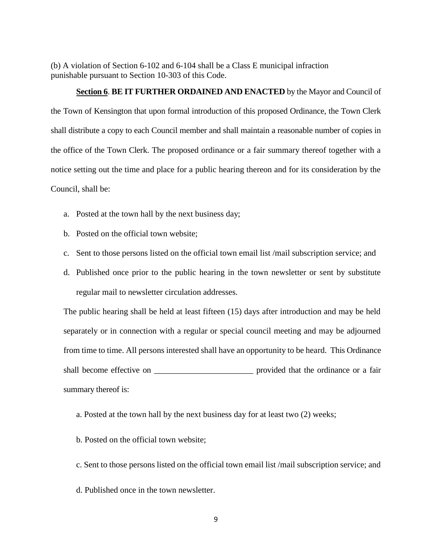(b) A violation of Section 6-102 and 6-104 shall be a Class E municipal infraction punishable pursuant to Section 10-303 of this Code.

#### **Section 6**. **BE IT FURTHER ORDAINED AND ENACTED** by the Mayor and Council of

the Town of Kensington that upon formal introduction of this proposed Ordinance, the Town Clerk shall distribute a copy to each Council member and shall maintain a reasonable number of copies in the office of the Town Clerk. The proposed ordinance or a fair summary thereof together with a notice setting out the time and place for a public hearing thereon and for its consideration by the Council, shall be:

- a. Posted at the town hall by the next business day;
- b. Posted on the official town website;
- c. Sent to those persons listed on the official town email list /mail subscription service; and
- d. Published once prior to the public hearing in the town newsletter or sent by substitute regular mail to newsletter circulation addresses.

The public hearing shall be held at least fifteen (15) days after introduction and may be held separately or in connection with a regular or special council meeting and may be adjourned from time to time. All persons interested shall have an opportunity to be heard. This Ordinance shall become effective on  $\Box$  provided that the ordinance or a fair summary thereof is:

- a. Posted at the town hall by the next business day for at least two (2) weeks;
- b. Posted on the official town website;
- c. Sent to those persons listed on the official town email list /mail subscription service; and
- d. Published once in the town newsletter.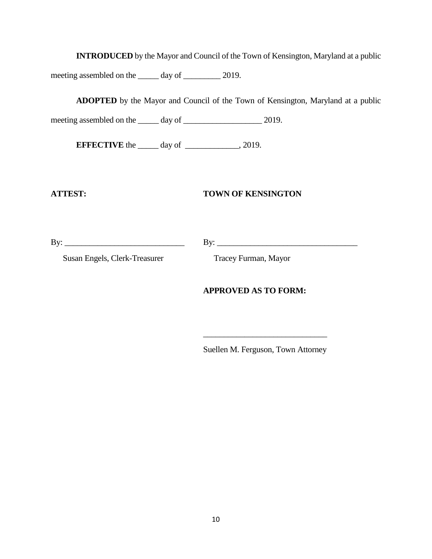**INTRODUCED** by the Mayor and Council of the Town of Kensington, Maryland at a public

meeting assembled on the \_\_\_\_\_\_ day of \_\_\_\_\_\_\_\_\_ 2019.

**ADOPTED** by the Mayor and Council of the Town of Kensington, Maryland at a public

meeting assembled on the \_\_\_\_\_ day of \_\_\_\_\_\_\_\_\_\_\_\_\_\_\_\_\_\_\_ 2019.

**EFFECTIVE** the \_\_\_\_\_ day of \_\_\_\_\_\_\_\_\_\_\_, 2019.

## **ATTEST: TOWN OF KENSINGTON**

By: \_\_\_\_\_\_\_\_\_\_\_\_\_\_\_\_\_\_\_\_\_\_\_\_\_\_\_\_\_ By: \_\_\_\_\_\_\_\_\_\_\_\_\_\_\_\_\_\_\_\_\_\_\_\_\_\_\_\_\_\_\_\_\_\_

Susan Engels, Clerk-Treasurer Tracey Furman, Mayor

## **APPROVED AS TO FORM:**

Suellen M. Ferguson, Town Attorney

\_\_\_\_\_\_\_\_\_\_\_\_\_\_\_\_\_\_\_\_\_\_\_\_\_\_\_\_\_\_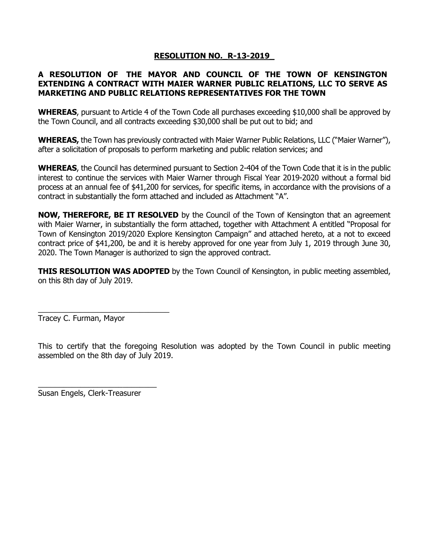## **RESOLUTION NO.\_R-13-2019\_**

## **A RESOLUTION OF THE MAYOR AND COUNCIL OF THE TOWN OF KENSINGTON EXTENDING A CONTRACT WITH MAIER WARNER PUBLIC RELATIONS, LLC TO SERVE AS MARKETING AND PUBLIC RELATIONS REPRESENTATIVES FOR THE TOWN**

**WHEREAS**, pursuant to Article 4 of the Town Code all purchases exceeding \$10,000 shall be approved by the Town Council, and all contracts exceeding \$30,000 shall be put out to bid; and

**WHEREAS,** the Town has previously contracted with Maier Warner Public Relations, LLC ("Maier Warner"), after a solicitation of proposals to perform marketing and public relation services; and

**WHEREAS**, the Council has determined pursuant to Section 2-404 of the Town Code that it is in the public interest to continue the services with Maier Warner through Fiscal Year 2019-2020 without a formal bid process at an annual fee of \$41,200 for services, for specific items, in accordance with the provisions of a contract in substantially the form attached and included as Attachment "A".

**NOW, THEREFORE, BE IT RESOLVED** by the Council of the Town of Kensington that an agreement with Maier Warner, in substantially the form attached, together with Attachment A entitled "Proposal for Town of Kensington 2019/2020 Explore Kensington Campaign" and attached hereto, at a not to exceed contract price of \$41,200, be and it is hereby approved for one year from July 1, 2019 through June 30, 2020. The Town Manager is authorized to sign the approved contract.

**THIS RESOLUTION WAS ADOPTED** by the Town Council of Kensington, in public meeting assembled, on this 8th day of July 2019.

Tracey C. Furman, Mayor

\_\_\_\_\_\_\_\_\_\_\_\_\_\_\_\_\_\_\_\_\_\_\_\_\_\_\_\_\_\_\_

This to certify that the foregoing Resolution was adopted by the Town Council in public meeting assembled on the 8th day of July 2019.

Susan Engels, Clerk-Treasurer

 $\_$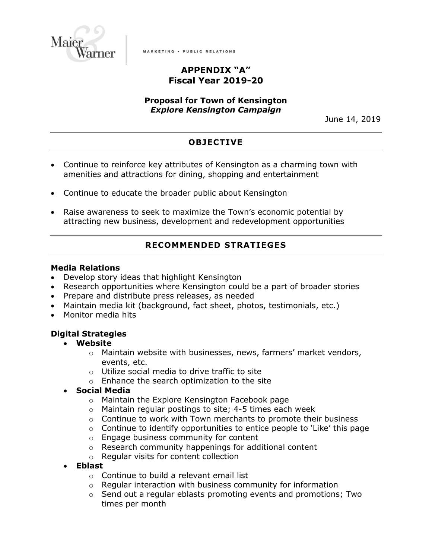

MARKETING . PUBLIC RELATIONS

# **APPENDIX "A" Fiscal Year 2019-20**

## **Proposal for Town of Kensington** *Explore Kensington Campaign*

June 14, 2019

# **OBJECTIVE**

- Continue to reinforce key attributes of Kensington as a charming town with amenities and attractions for dining, shopping and entertainment
- Continue to educate the broader public about Kensington
- Raise awareness to seek to maximize the Town's economic potential by attracting new business, development and redevelopment opportunities

# **RECOMMENDED STRATIEGES**

## **Media Relations**

- Develop story ideas that highlight Kensington
- Research opportunities where Kensington could be a part of broader stories
- Prepare and distribute press releases, as needed
- Maintain media kit (background, fact sheet, photos, testimonials, etc.)
- Monitor media hits

## **Digital Strategies**

## • **Website**

- $\circ$  Maintain website with businesses, news, farmers' market vendors, events, etc.
- o Utilize social media to drive traffic to site
- o Enhance the search optimization to the site
- **Social Media**
	- o Maintain the Explore Kensington Facebook page
	- o Maintain regular postings to site; 4-5 times each week
	- $\circ$  Continue to work with Town merchants to promote their business
	- $\circ$  Continue to identify opportunities to entice people to 'Like' this page
	- o Engage business community for content
	- o Research community happenings for additional content
	- o Regular visits for content collection
- **Eblast**
	- $\circ$  Continue to build a relevant email list
	- o Regular interaction with business community for information
	- $\circ$  Send out a regular eblasts promoting events and promotions; Two times per month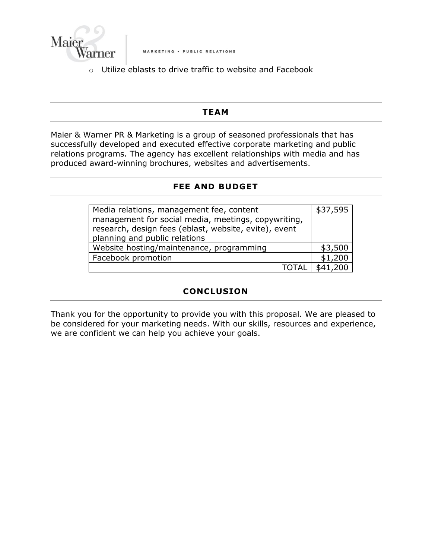

o Utilize eblasts to drive traffic to website and Facebook

## **TEAM**

Maier & Warner PR & Marketing is a group of seasoned professionals that has successfully developed and executed effective corporate marketing and public relations programs. The agency has excellent relationships with media and has produced award-winning brochures, websites and advertisements.

## **FEE AND BUDGET**

| Media relations, management fee, content<br>management for social media, meetings, copywriting,<br>research, design fees (eblast, website, evite), event | \$37,595 |
|----------------------------------------------------------------------------------------------------------------------------------------------------------|----------|
| planning and public relations<br>Website hosting/maintenance, programming                                                                                | \$3,500  |
| Facebook promotion                                                                                                                                       | \$1,200  |
|                                                                                                                                                          | \$41,200 |

# **CONCLUSION**

Thank you for the opportunity to provide you with this proposal. We are pleased to be considered for your marketing needs. With our skills, resources and experience, we are confident we can help you achieve your goals.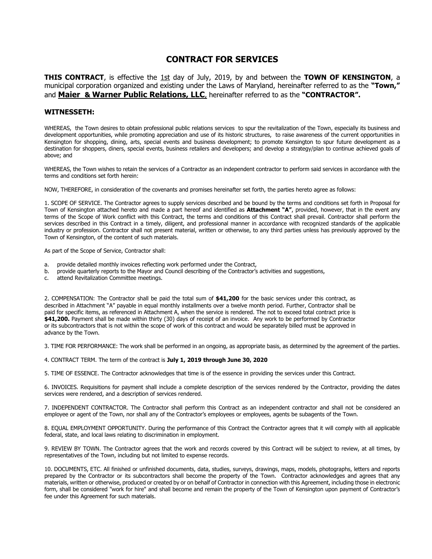## **CONTRACT FOR SERVICES**

**THIS CONTRACT**, is effective the 1st day of July, 2019, by and between the **TOWN OF KENSINGTON**, a municipal corporation organized and existing under the Laws of Maryland, hereinafter referred to as the **"Town,"**  and **Maier & Warner Public Relations, LLC**, hereinafter referred to as the **"CONTRACTOR".**

#### **WITNESSETH:**

WHEREAS, the Town desires to obtain professional public relations services to spur the revitalization of the Town, especially its business and development opportunities, while promoting appreciation and use of its historic structures, to raise awareness of the current opportunities in Kensington for shopping, dining, arts, special events and business development; to promote Kensington to spur future development as a destination for shoppers, diners, special events, business retailers and developers; and develop a strategy/plan to continue achieved goals of above; and

WHEREAS, the Town wishes to retain the services of a Contractor as an independent contractor to perform said services in accordance with the terms and conditions set forth herein:

NOW, THEREFORE, in consideration of the covenants and promises hereinafter set forth, the parties hereto agree as follows:

1. SCOPE OF SERVICE. The Contractor agrees to supply services described and be bound by the terms and conditions set forth in Proposal for Town of Kensington attached hereto and made a part hereof and identified as **Attachment "A"**, provided, however, that in the event any terms of the Scope of Work conflict with this Contract, the terms and conditions of this Contract shall prevail. Contractor shall perform the services described in this Contract in a timely, diligent, and professional manner in accordance with recognized standards of the applicable industry or profession. Contractor shall not present material, written or otherwise, to any third parties unless has previously approved by the Town of Kensington, of the content of such materials.

As part of the Scope of Service, Contractor shall:

- a. provide detailed monthly invoices reflecting work performed under the Contract,
- b. provide quarterly reports to the Mayor and Council describing of the Contractor's activities and suggestions,
- c. attend Revitalization Committee meetings.

2. COMPENSATION: The Contractor shall be paid the total sum of **\$41,200** for the basic services under this contract, as described in Attachment "A" payable in equal monthly installments over a twelve month period. Further, Contractor shall be paid for specific items, as referenced in Attachment A, when the service is rendered. The not to exceed total contract price is **\$41,200.** Payment shall be made within thirty (30) days of receipt of an invoice. Any work to be performed by Contractor or its subcontractors that is not within the scope of work of this contract and would be separately billed must be approved in advance by the Town.

3. TIME FOR PERFORMANCE: The work shall be performed in an ongoing, as appropriate basis, as determined by the agreement of the parties.

4. CONTRACT TERM. The term of the contract is **July 1, 2019 through June 30, 2020**

5. TIME OF ESSENCE. The Contractor acknowledges that time is of the essence in providing the services under this Contract.

6. INVOICES. Requisitions for payment shall include a complete description of the services rendered by the Contractor, providing the dates services were rendered, and a description of services rendered.

7. INDEPENDENT CONTRACTOR. The Contractor shall perform this Contract as an independent contractor and shall not be considered an employee or agent of the Town, nor shall any of the Contractor's employees or employees, agents be subagents of the Town.

8. EQUAL EMPLOYMENT OPPORTUNITY. During the performance of this Contract the Contractor agrees that it will comply with all applicable federal, state, and local laws relating to discrimination in employment.

9. REVIEW BY TOWN. The Contractor agrees that the work and records covered by this Contract will be subject to review, at all times, by representatives of the Town, including but not limited to expense records.

10. DOCUMENTS, ETC. All finished or unfinished documents, data, studies, surveys, drawings, maps, models, photographs, letters and reports prepared by the Contractor or its subcontractors shall become the property of the Town. Contractor acknowledges and agrees that any materials, written or otherwise, produced or created by or on behalf of Contractor in connection with this Agreement, including those in electronic form, shall be considered "work for hire" and shall become and remain the property of the Town of Kensington upon payment of Contractor's fee under this Agreement for such materials.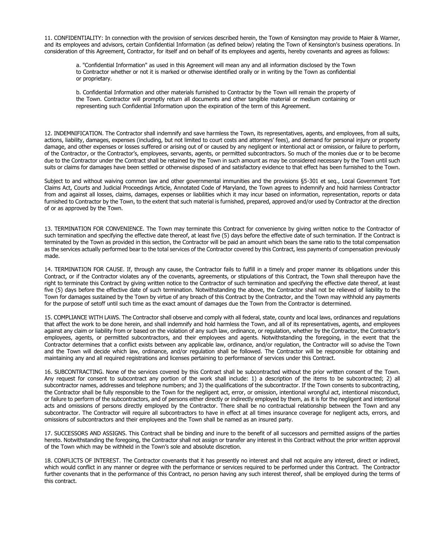11. CONFIDENTIALITY: In connection with the provision of services described herein, the Town of Kensington may provide to Maier & Warner, and its employees and advisors, certain Confidential Information (as defined below) relating the Town of Kensington's business operations. In consideration of this Agreement, Contractor, for itself and on behalf of its employees and agents, hereby covenants and agrees as follows:

a. "Confidential Information" as used in this Agreement will mean any and all information disclosed by the Town to Contractor whether or not it is marked or otherwise identified orally or in writing by the Town as confidential or proprietary.

b. Confidential Information and other materials furnished to Contractor by the Town will remain the property of the Town. Contractor will promptly return all documents and other tangible material or medium containing or representing such Confidential Information upon the expiration of the term of this Agreement.

12. INDEMNIFICATION. The Contractor shall indemnify and save harmless the Town, its representatives, agents, and employees, from all suits, actions, liability, damages, expenses (including, but not limited to court costs and attorneys' fees), and demand for personal injury or property damage, and other expenses or losses suffered or arising out of or caused by any negligent or intentional act or omission, or failure to perform, of the Contractor, or the Contractor's, employees, servants, agents, or permitted subcontractors. So much of the monies due or to be become due to the Contractor under the Contract shall be retained by the Town in such amount as may be considered necessary by the Town until such suits or claims for damages have been settled or otherwise disposed of and satisfactory evidence to that effect has been furnished to the Town.

Subject to and without waiving common law and other governmental immunities and the provisions §5-301 et seq., Local Government Tort Claims Act, Courts and Judicial Proceedings Article, Annotated Code of Maryland, the Town agrees to indemnify and hold harmless Contractor from and against all losses, claims, damages, expenses or liabilities which it may incur based on information, representation, reports or data furnished to Contractor by the Town, to the extent that such material is furnished, prepared, approved and/or used by Contractor at the direction of or as approved by the Town.

13. TERMINATION FOR CONVENIENCE. The Town may terminate this Contract for convenience by giving written notice to the Contractor of such termination and specifying the effective date thereof, at least five (5) days before the effective date of such termination. If the Contract is terminated by the Town as provided in this section, the Contractor will be paid an amount which bears the same ratio to the total compensation as the services actually performed bear to the total services of the Contractor covered by this Contract, less payments of compensation previously made.

14. TERMINATION FOR CAUSE. If, through any cause, the Contractor fails to fulfill in a timely and proper manner its obligations under this Contract, or if the Contractor violates any of the covenants, agreements, or stipulations of this Contract, the Town shall thereupon have the right to terminate this Contract by giving written notice to the Contractor of such termination and specifying the effective date thereof, at least five (5) days before the effective date of such termination. Notwithstanding the above, the Contractor shall not be relieved of liability to the Town for damages sustained by the Town by virtue of any breach of this Contract by the Contractor, and the Town may withhold any payments for the purpose of setoff until such time as the exact amount of damages due the Town from the Contractor is determined.

15. COMPLIANCE WITH LAWS. The Contractor shall observe and comply with all federal, state, county and local laws, ordinances and regulations that affect the work to be done herein, and shall indemnify and hold harmless the Town, and all of its representatives, agents, and employees against any claim or liability from or based on the violation of any such law, ordinance, or regulation, whether by the Contractor, the Contractor's employees, agents, or permitted subcontractors, and their employees and agents. Notwithstanding the foregoing, in the event that the Contractor determines that a conflict exists between any applicable law, ordinance, and/or regulation, the Contractor will so advise the Town and the Town will decide which law, ordinance, and/or regulation shall be followed. The Contractor will be responsible for obtaining and maintaining any and all required registrations and licenses pertaining to performance of services under this Contract.

16. SUBCONTRACTING. None of the services covered by this Contract shall be subcontracted without the prior written consent of the Town. Any request for consent to subcontract any portion of the work shall include: 1) a description of the items to be subcontracted; 2) all subcontractor names, addresses and telephone numbers; and 3) the qualifications of the subcontractor. If the Town consents to subcontracting, the Contractor shall be fully responsible to the Town for the negligent act, error, or omission, intentional wrongful act, intentional misconduct, or failure to perform of the subcontractors, and of persons either directly or indirectly employed by them, as it is for the negligent and intentional acts and omissions of persons directly employed by the Contractor. There shall be no contractual relationship between the Town and any subcontractor. The Contractor will require all subcontractors to have in effect at all times insurance coverage for negligent acts, errors, and omissions of subcontractors and their employees and the Town shall be named as an insured party.

17. SUCCESSORS AND ASSIGNS. This Contract shall be binding and inure to the benefit of all successors and permitted assigns of the parties hereto. Notwithstanding the foregoing, the Contractor shall not assign or transfer any interest in this Contract without the prior written approval of the Town which may be withheld in the Town's sole and absolute discretion.

18. CONFLICTS OF INTEREST. The Contractor covenants that it has presently no interest and shall not acquire any interest, direct or indirect, which would conflict in any manner or degree with the performance or services required to be performed under this Contract. The Contractor further covenants that in the performance of this Contract, no person having any such interest thereof, shall be employed during the terms of this contract.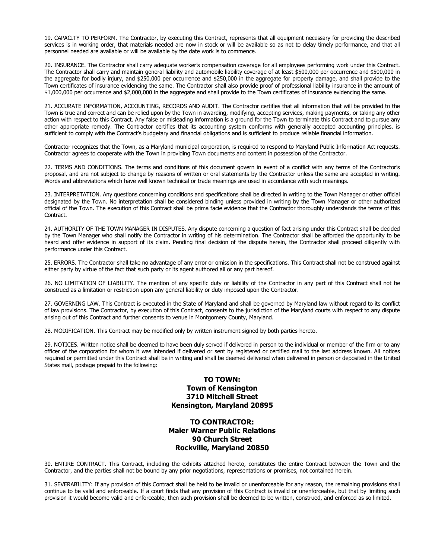19. CAPACITY TO PERFORM. The Contractor, by executing this Contract, represents that all equipment necessary for providing the described services is in working order, that materials needed are now in stock or will be available so as not to delay timely performance, and that all personnel needed are available or will be available by the date work is to commence.

20. INSURANCE. The Contractor shall carry adequate worker's compensation coverage for all employees performing work under this Contract. The Contractor shall carry and maintain general liability and automobile liability coverage of at least \$500,000 per occurrence and \$500,000 in the aggregate for bodily injury, and \$250,000 per occurrence and \$250,000 in the aggregate for property damage, and shall provide to the Town certificates of insurance evidencing the same. The Contractor shall also provide proof of professional liability insurance in the amount of \$1,000,000 per occurrence and \$2,000,000 in the aggregate and shall provide to the Town certificates of insurance evidencing the same.

21. ACCURATE INFORMATION, ACCOUNTING, RECORDS AND AUDIT. The Contractor certifies that all information that will be provided to the Town is true and correct and can be relied upon by the Town in awarding, modifying, accepting services, making payments, or taking any other action with respect to this Contract. Any false or misleading information is a ground for the Town to terminate this Contract and to pursue any other appropriate remedy. The Contractor certifies that its accounting system conforms with generally accepted accounting principles, is sufficient to comply with the Contract's budgetary and financial obligations and is sufficient to produce reliable financial information.

Contractor recognizes that the Town, as a Maryland municipal corporation, is required to respond to Maryland Public Information Act requests. Contractor agrees to cooperate with the Town in providing Town documents and content in possession of the Contractor.

22. TERMS AND CONDITIONS. The terms and conditions of this document govern in event of a conflict with any terms of the Contractor's proposal, and are not subject to change by reasons of written or oral statements by the Contractor unless the same are accepted in writing. Words and abbreviations which have well known technical or trade meanings are used in accordance with such meanings.

23. INTERPRETATION. Any questions concerning conditions and specifications shall be directed in writing to the Town Manager or other official designated by the Town. No interpretation shall be considered binding unless provided in writing by the Town Manager or other authorized official of the Town. The execution of this Contract shall be prima facie evidence that the Contractor thoroughly understands the terms of this Contract.

24. AUTHORITY OF THE TOWN MANAGER IN DISPUTES. Any dispute concerning a question of fact arising under this Contract shall be decided by the Town Manager who shall notify the Contractor in writing of his determination. The Contractor shall be afforded the opportunity to be heard and offer evidence in support of its claim. Pending final decision of the dispute herein, the Contractor shall proceed diligently with performance under this Contract.

25. ERRORS. The Contractor shall take no advantage of any error or omission in the specifications. This Contract shall not be construed against either party by virtue of the fact that such party or its agent authored all or any part hereof.

26. NO LIMITATION OF LIABILITY. The mention of any specific duty or liability of the Contractor in any part of this Contract shall not be construed as a limitation or restriction upon any general liability or duty imposed upon the Contractor.

27. GOVERNING LAW. This Contract is executed in the State of Maryland and shall be governed by Maryland law without regard to its conflict of law provisions. The Contractor, by execution of this Contract, consents to the jurisdiction of the Maryland courts with respect to any dispute arising out of this Contract and further consents to venue in Montgomery County, Maryland.

28. MODIFICATION. This Contract may be modified only by written instrument signed by both parties hereto.

29. NOTICES. Written notice shall be deemed to have been duly served if delivered in person to the individual or member of the firm or to any officer of the corporation for whom it was intended if delivered or sent by registered or certified mail to the last address known. All notices required or permitted under this Contract shall be in writing and shall be deemed delivered when delivered in person or deposited in the United States mail, postage prepaid to the following:

#### **TO TOWN: Town of Kensington 3710 Mitchell Street Kensington, Maryland 20895**

#### **TO CONTRACTOR: Maier Warner Public Relations 90 Church Street Rockville, Maryland 20850**

30. ENTIRE CONTRACT. This Contract, including the exhibits attached hereto, constitutes the entire Contract between the Town and the Contractor, and the parties shall not be bound by any prior negotiations, representations or promises, not contained herein.

31. SEVERABILITY: If any provision of this Contract shall be held to be invalid or unenforceable for any reason, the remaining provisions shall continue to be valid and enforceable. If a court finds that any provision of this Contract is invalid or unenforceable, but that by limiting such provision it would become valid and enforceable, then such provision shall be deemed to be written, construed, and enforced as so limited.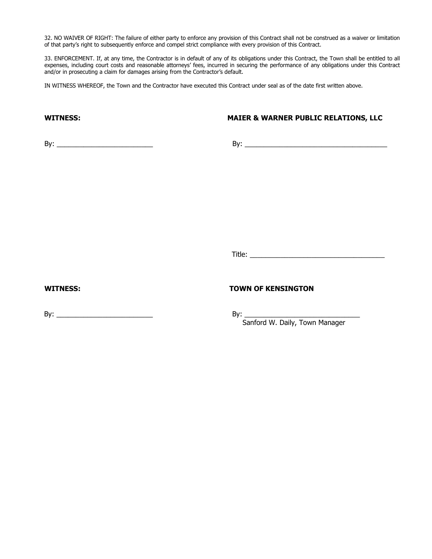32. NO WAIVER OF RIGHT: The failure of either party to enforce any provision of this Contract shall not be construed as a waiver or limitation of that party's right to subsequently enforce and compel strict compliance with every provision of this Contract.

33. ENFORCEMENT. If, at any time, the Contractor is in default of any of its obligations under this Contract, the Town shall be entitled to all expenses, including court costs and reasonable attorneys' fees, incurred in securing the performance of any obligations under this Contract and/or in prosecuting a claim for damages arising from the Contractor's default.

IN WITNESS WHEREOF, the Town and the Contractor have executed this Contract under seal as of the date first written above.

### **WITNESS: MAIER & WARNER PUBLIC RELATIONS, LLC**

By: \_\_\_\_\_\_\_\_\_\_\_\_\_\_\_\_\_\_\_\_\_\_\_\_\_ By: \_\_\_\_\_\_\_\_\_\_\_\_\_\_\_\_\_\_\_\_\_\_\_\_\_\_\_\_\_\_\_\_\_\_\_\_\_

Title: \_\_\_\_\_\_\_\_\_\_\_\_\_\_\_\_\_\_\_\_\_\_\_\_\_\_\_\_\_\_\_\_\_\_\_

**WITNESS: TOWN OF KENSINGTON**

By: \_\_\_\_\_\_\_\_\_\_\_\_\_\_\_\_\_\_\_\_\_\_\_\_\_ By: \_\_\_\_\_\_\_\_\_\_\_\_\_\_\_\_\_\_\_\_\_\_\_\_\_\_\_\_\_\_

Sanford W. Daily, Town Manager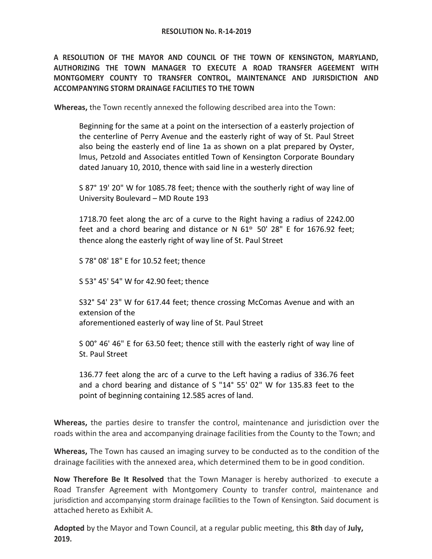**A RESOLUTION OF THE MAYOR AND COUNCIL OF THE TOWN OF KENSINGTON, MARYLAND, AUTHORIZING THE TOWN MANAGER TO EXECUTE A ROAD TRANSFER AGEEMENT WITH MONTGOMERY COUNTY TO TRANSFER CONTROL, MAINTENANCE AND JURISDICTION AND ACCOMPANYING STORM DRAINAGE FACILITIES TO THE TOWN**

**Whereas,** the Town recently annexed the following described area into the Town:

Beginning for the same at a point on the intersection of a easterly projection of the centerline of Perry Avenue and the easterly right of way of St. Paul Street also being the easterly end of line 1a as shown on a plat prepared by Oyster, lmus, Petzold and Associates entitled Town of Kensington Corporate Boundary dated January 10, 2010, thence with said line in a westerly direction

S 87° 19' 20" W for 1085.78 feet; thence with the southerly right of way line of University Boulevard – MD Route 193

1718.70 feet along the arc of a curve to the Right having a radius of 2242.00 feet and a chord bearing and distance or N  $61^{\circ}$  50' 28" E for 1676.92 feet; thence along the easterly right of way line of St. Paul Street

S 78° 08' 18" E for 10.52 feet; thence

S 53° 45' 54" W for 42.90 feet; thence

S32° 54' 23" W for 617.44 feet; thence crossing McComas Avenue and with an extension of the aforementioned easterIy of way line of St. Paul Street

S 00° 46' 46" E for 63.50 feet; thence still with the easterly right of way line of St. Paul Street

136.77 feet along the arc of a curve to the Left having a radius of 336.76 feet and a chord bearing and distance of S "14° 55' 02" W for 135.83 feet to the point of beginning containing 12.585 acres of land.

**Whereas,** the parties desire to transfer the control, maintenance and jurisdiction over the roads within the area and accompanying drainage facilities from the County to the Town; and

**Whereas,** The Town has caused an imaging survey to be conducted as to the condition of the drainage facilities with the annexed area, which determined them to be in good condition.

**Now Therefore Be It Resolved** that the Town Manager is hereby authorized -to execute a Road Transfer Agreement with Montgomery County to transfer control, maintenance and jurisdiction and accompanying storm drainage facilities to the Town of Kensington. Said document is attached hereto as Exhibit A.

**Adopted** by the Mayor and Town Council, at a regular public meeting, this **8th** day of **July, 2019.**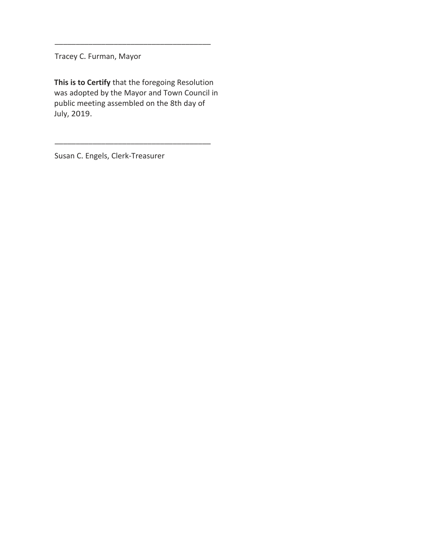Tracey C. Furman, Mayor

**This is to Certify** that the foregoing Resolution was adopted by the Mayor and Town Council in public meeting assembled on the 8th day of July, 2019.

\_\_\_\_\_\_\_\_\_\_\_\_\_\_\_\_\_\_\_\_\_\_\_\_\_\_\_\_\_\_\_\_\_\_\_\_\_

\_\_\_\_\_\_\_\_\_\_\_\_\_\_\_\_\_\_\_\_\_\_\_\_\_\_\_\_\_\_\_\_\_\_\_\_\_

Susan C. Engels, Clerk-Treasurer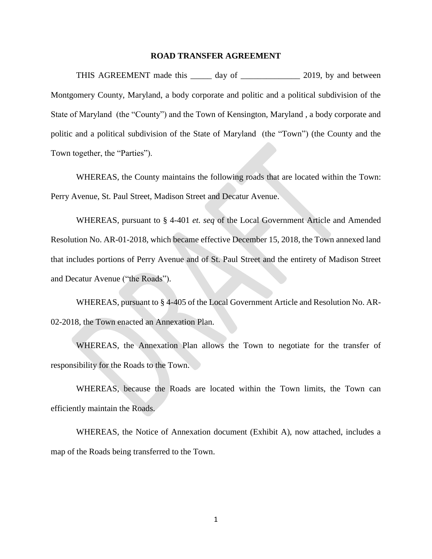#### **ROAD TRANSFER AGREEMENT**

THIS AGREEMENT made this \_\_\_\_\_\_ day of \_\_\_\_\_\_\_\_\_\_\_\_\_\_\_\_\_ 2019, by and between Montgomery County, Maryland, a body corporate and politic and a political subdivision of the State of Maryland (the "County") and the Town of Kensington, Maryland , a body corporate and politic and a political subdivision of the State of Maryland (the "Town") (the County and the Town together, the "Parties").

WHEREAS, the County maintains the following roads that are located within the Town: Perry Avenue, St. Paul Street, Madison Street and Decatur Avenue.

WHEREAS, pursuant to § 4-401 *et. seq* of the Local Government Article and Amended Resolution No. AR-01-2018, which became effective December 15, 2018, the Town annexed land that includes portions of Perry Avenue and of St. Paul Street and the entirety of Madison Street and Decatur Avenue ("the Roads").

WHEREAS, pursuant to § 4-405 of the Local Government Article and Resolution No. AR-02-2018, the Town enacted an Annexation Plan.

WHEREAS, the Annexation Plan allows the Town to negotiate for the transfer of responsibility for the Roads to the Town.

WHEREAS, because the Roads are located within the Town limits, the Town can efficiently maintain the Roads.

WHEREAS, the Notice of Annexation document (Exhibit A), now attached, includes a map of the Roads being transferred to the Town.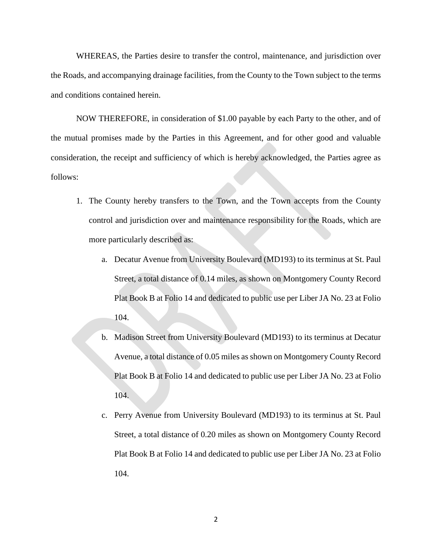WHEREAS, the Parties desire to transfer the control, maintenance, and jurisdiction over the Roads, and accompanying drainage facilities, from the County to the Town subject to the terms and conditions contained herein.

NOW THEREFORE, in consideration of \$1.00 payable by each Party to the other, and of the mutual promises made by the Parties in this Agreement, and for other good and valuable consideration, the receipt and sufficiency of which is hereby acknowledged, the Parties agree as follows:

- 1. The County hereby transfers to the Town, and the Town accepts from the County control and jurisdiction over and maintenance responsibility for the Roads, which are more particularly described as:
	- a. Decatur Avenue from University Boulevard (MD193) to its terminus at St. Paul Street, a total distance of 0.14 miles, as shown on Montgomery County Record Plat Book B at Folio 14 and dedicated to public use per Liber JA No. 23 at Folio 104.
	- b. Madison Street from University Boulevard (MD193) to its terminus at Decatur Avenue, a total distance of 0.05 miles as shown on Montgomery County Record Plat Book B at Folio 14 and dedicated to public use per Liber JA No. 23 at Folio 104.
	- c. Perry Avenue from University Boulevard (MD193) to its terminus at St. Paul Street, a total distance of 0.20 miles as shown on Montgomery County Record Plat Book B at Folio 14 and dedicated to public use per Liber JA No. 23 at Folio 104.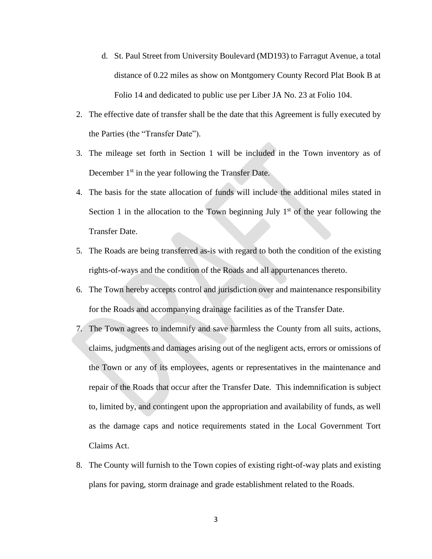- d. St. Paul Street from University Boulevard (MD193) to Farragut Avenue, a total distance of 0.22 miles as show on Montgomery County Record Plat Book B at Folio 14 and dedicated to public use per Liber JA No. 23 at Folio 104.
- 2. The effective date of transfer shall be the date that this Agreement is fully executed by the Parties (the "Transfer Date").
- 3. The mileage set forth in Section 1 will be included in the Town inventory as of December  $1<sup>st</sup>$  in the year following the Transfer Date.
- 4. The basis for the state allocation of funds will include the additional miles stated in Section 1 in the allocation to the Town beginning July  $1<sup>st</sup>$  of the year following the Transfer Date.
- 5. The Roads are being transferred as-is with regard to both the condition of the existing rights-of-ways and the condition of the Roads and all appurtenances thereto.
- 6. The Town hereby accepts control and jurisdiction over and maintenance responsibility for the Roads and accompanying drainage facilities as of the Transfer Date.
- 7. The Town agrees to indemnify and save harmless the County from all suits, actions, claims, judgments and damages arising out of the negligent acts, errors or omissions of the Town or any of its employees, agents or representatives in the maintenance and repair of the Roads that occur after the Transfer Date. This indemnification is subject to, limited by, and contingent upon the appropriation and availability of funds, as well as the damage caps and notice requirements stated in the Local Government Tort Claims Act.
- 8. The County will furnish to the Town copies of existing right-of-way plats and existing plans for paving, storm drainage and grade establishment related to the Roads.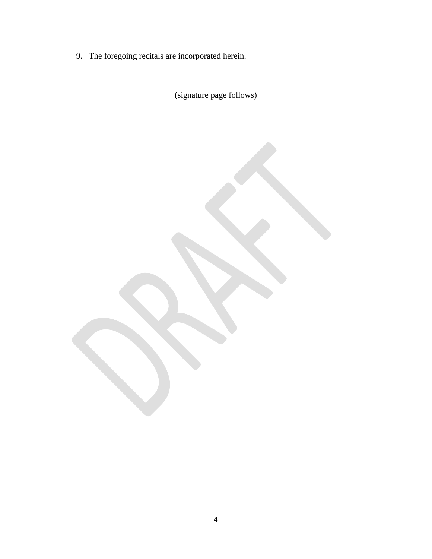9. The foregoing recitals are incorporated herein.

(signature page follows)